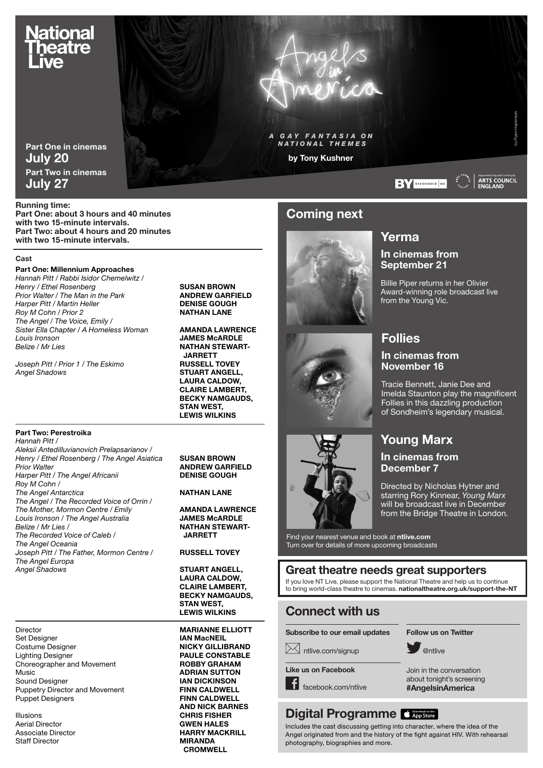# <u>N</u>ational heatre

Part One in cinemas July 20 Part Two in cinemas July 27

Running time:

Part One: about 3 hours and 40 minutes with two 15-minute intervals. Part Two: about 4 hours and 20 minutes with two 15-minute intervals.

#### **Cast**

#### Part One: Millennium Approaches

*Hannah Pitt / Rabbi Isidor Chemelwitz / Henry / Ethel Rosenberg* **Canadian Construct Construct Construct Construct Construct Construct Construct Construct Construct Prior Construct Prior Construct Prior Construction Prior Construction Prior Construction Prior C Prior Walter / The Man in the Park <b>ANDREW GARFII**<br>
Harper Pitt / Martin Heller **And Andrew BRANCE GOUGH Harper Pitt / Martin Heller <b>DENISE GOUGH**<br>
Roy M Cohn / Prior 2 **DENIST AND NATHAN LANE**  $Row M$  Cohn / Prior 2 *The Angel / The Voice, Emily /* Sister Ella Chapter / A Homeless Woman **AMANDA LAWRENCE** *Louis Ironson* JAMES McARDLE

*Belize / Mr Lies* NATHAN STEWART- JARRETT<br>RUSSELL TOVEY **STUART ANGELL,** LAURA CALDOW, CLAIRE LAMBERT, BECKY NAMGAUDS, STAN WEST, LEWIS WILKINS

*Joseph Pitt / Prior 1 / The Eskimo*<br>Angel Shadows

*Hannah Pitt / Aleksii Antedilluvianovich Prelapsarianov /*

Part Two: Perestroika

*Henry / Ethel Rosenberg / The Angel Asiatica* **SUSAN BROWN**<br>*Prior Walter* **ANDREW GARFI Harper Pitt / The Angel Africanii** *Roy M Cohn /*  **The Angel Antarctica** NATHAN LANE *The Angel / The Recorded Voice of Orrin /*  **The Mother, Mormon Centre / Emily <b>AMANDA LAWRENCE**<br>
Louis Ironson / The Angel Australia **Annual State LAWES McARDLE** Louis Ironson / The Angel Australia *Belize / Mr Lies /* **NATHAN STEWART-**<br> *NATHAN STEWART-*<br> *NARRETT* **The Recorded Voice of Caleb /** *The Angel Oceania Joseph Pitt / The Father, Mormon Centre /* **RUSSELL TOVEY** *The Angel Europa*  **Angel Shadows STUART ANGELL**,

Director **MARIANNE ELLIOTT**<br>
Set Designer **Contains the MARIANNE ELLIOTT**<br> **IAN MacNEIL** Costume Designer NICKY GILLIBRAND Lighting Designer **PAULE CONSTABLE**<br>
Choreographer and Movement **POBBY GRAHAM** Choreographer and Movement Music **ADRIAN SUTTON**<br>
Sound Designer<br> **ANDICKINSON** Sound Designer Puppetry Director and Movement FINN CALDWELL

**Illusions**<br> **CHRIS FISHER**<br> **Aerial Director** Aerial Director **GWEN HALES**<br>
Associate Director **GWEN HARRY MACK**<br> **HARRY MACK Staff Director** 

**ANDREW GARFIELD<br>DENISE GOUGH** 

 LAURA CALDOW, CLAIRE LAMBERT, BECKY NAMGAUDS, STAN WEST, LEWIS WILKINS

**IAN MacNEIL** Puppet Designers **FINN CALDWELL** AND NICK BARNES HARRY MACKRILL<br>MIRANDA CROMWELL

# Coming next

by Tony Kushner

**GAY FANTASIA ON**  *NATIONAL THEMES*







# Yerma

## In cinemas from September 21

**BY** EXPERIENCE HD

Billie Piper returns in her Olivier Award-winning role broadcast live from the Young Vic.

# Follies

#### In cinemas from November 16

Tracie Bennett, Janie Dee and Imelda Staunton play the magnificent Follies in this dazzling production of Sondheim's legendary musical.

# Young Marx

#### In cinemas from December 7

Directed by Nicholas Hytner and starring Rory Kinnear, *Young Marx* will be broadcast live in December from the Bridge Theatre in London.

Find your nearest venue and book at ntlive.com Turn over for details of more upcoming broadcasts

## Great theatre needs great supporters

If you love NT Live, please support the National Theatre and help us to continue<br>to bring world-class theatre to cinemas. **nationaltheatre.org.uk/support-the-NT** 

## Connect with us

Subscribe to our email updates

**X** ntlive.com/signup

Like us on Facebook

facebook.com/ntlive

# Digital Programme **CAppStore**

Includes the cast discussing getting into character, where the idea of the Angel originated from and the history of the fight against HIV. With rehearsal photography, biographies and more.





Join in the conversation about tonight's screening #AngelsinAmerica



Supported using public funding by<br>| ARTS COUNCIL<br>| ENGLAND